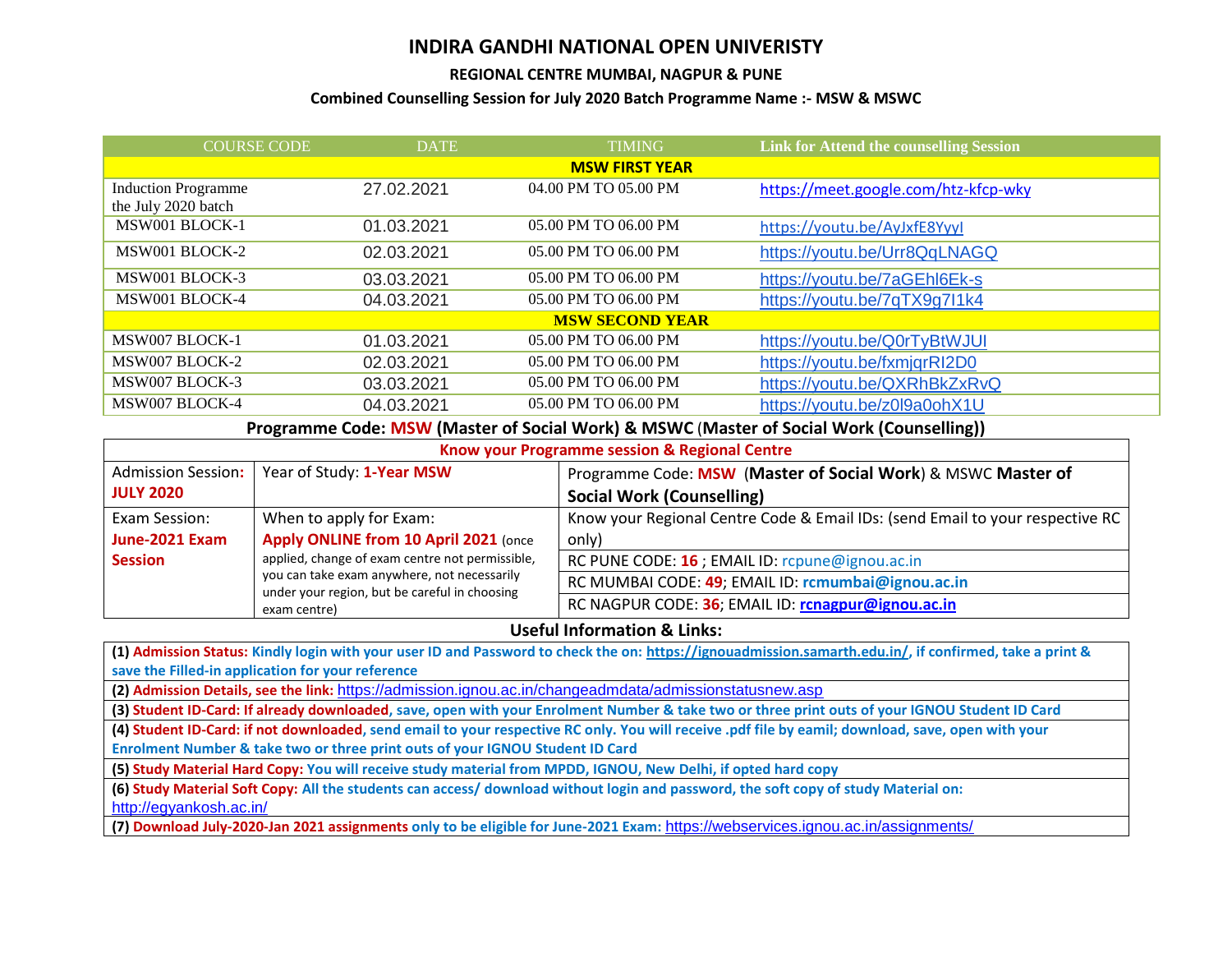## **INDIRA GANDHI NATIONAL OPEN UNIVERISTY**

## **REGIONAL CENTRE MUMBAI, NAGPUR & PUNE**

## **Combined Counselling Session for July 2020 Batch Programme Name :- MSW & MSWC**

| <b>DATE</b>            | <b>TIMING</b>        | <b>Link for Attend the counselling Session</b> |  |  |
|------------------------|----------------------|------------------------------------------------|--|--|
| <b>MSW FIRST YEAR</b>  |                      |                                                |  |  |
| 27.02.2021             | 04.00 PM TO 05.00 PM | https://meet.google.com/htz-kfcp-wky           |  |  |
|                        |                      |                                                |  |  |
| 01.03.2021             | 05.00 PM TO 06.00 PM | https://youtu.be/AyJxfE8Yyyl                   |  |  |
| 02.03.2021             | 05.00 PM TO 06.00 PM | https://youtu.be/Urr8QqLNAGQ                   |  |  |
| 03.03.2021             | 05.00 PM TO 06.00 PM | https://youtu.be/7aGEhl6Ek-s                   |  |  |
| 04.03.2021             | 05.00 PM TO 06.00 PM | https://youtu.be/7qTX9g7l1k4                   |  |  |
| <b>MSW SECOND YEAR</b> |                      |                                                |  |  |
| 01.03.2021             | 05.00 PM TO 06.00 PM | https://youtu.be/Q0rTyBtWJUI                   |  |  |
| 02.03.2021             | 05.00 PM TO 06.00 PM | https://youtu.be/fxmjqrRI2D0                   |  |  |
| 03.03.2021             | 05.00 PM TO 06.00 PM | https://youtu.be/QXRhBkZxRvQ                   |  |  |
| 04.03.2021             | 05.00 PM TO 06.00 PM | https://youtu.be/z0l9a0ohX1U                   |  |  |
|                        | <b>COURSE CODE</b>   |                                                |  |  |

**Programme Code: MSW (Master of Social Work) & MSWC** (**Master of Social Work (Counselling))**

| Know your Programme session & Regional Centre                                                                |                                                    |                                                                               |  |
|--------------------------------------------------------------------------------------------------------------|----------------------------------------------------|-------------------------------------------------------------------------------|--|
| <b>Admission Session:</b>                                                                                    | Year of Study: 1-Year MSW                          | Programme Code: MSW (Master of Social Work) & MSWC Master of                  |  |
| <b>JULY 2020</b>                                                                                             |                                                    | <b>Social Work (Counselling)</b>                                              |  |
| Exam Session:                                                                                                | When to apply for Exam:                            | Know your Regional Centre Code & Email IDs: (send Email to your respective RC |  |
| June-2021 Exam                                                                                               | Apply ONLINE from 10 April 2021 (once              | only)                                                                         |  |
| <b>Session</b>                                                                                               | applied, change of exam centre not permissible,    | RC PUNE CODE: 16 ; EMAIL ID: rcpune@ignou.ac.in                               |  |
| you can take exam anywhere, not necessarily<br>under your region, but be careful in choosing<br>exam centre) | RC MUMBAI CODE: 49; EMAIL ID: rcmumbai@ignou.ac.in |                                                                               |  |
|                                                                                                              | RC NAGPUR CODE: 36; EMAIL ID: rcnagpur@ignou.ac.in |                                                                               |  |

## **Useful Information & Links:**

**(1) Admission Status: Kindly login with your user ID and Password to check the on: [https://ignouadmission.samarth.edu.in/,](https://ignouadmission.samarth.edu.in/) if confirmed, take a print & save the Filled-in application for your reference**

**(2) Admission Details, see the link:** <https://admission.ignou.ac.in/changeadmdata/admissionstatusnew.asp>

**(3) Student ID-Card: If already downloaded, save, open with your Enrolment Number & take two or three print outs of your IGNOU Student ID Card**

**(4) Student ID-Card: if not downloaded, send email to your respective RC only. You will receive .pdf file by eamil; download, save, open with your Enrolment Number & take two or three print outs of your IGNOU Student ID Card**

**(5) Study Material Hard Copy: You will receive study material from MPDD, IGNOU, New Delhi, if opted hard copy**

**(6) Study Material Soft Copy: All the students can access/ download without login and password, the soft copy of study Material on:** <http://egyankosh.ac.in/>

**(7) Download July-2020-Jan 2021 assignments only to be eligible for June-2021 Exam:** <https://webservices.ignou.ac.in/assignments/>